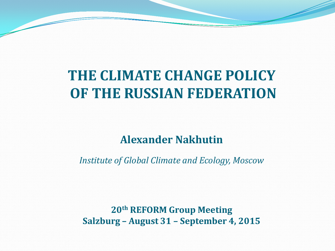## **THE CLIMATE CHANGE POLICY OF THE RUSSIAN FEDERATION**

### **Alexander Nakhutin**

*Institute of Global Climate and Ecology, Moscow*

**20th REFORM Group Meeting Salzburg – August 31 – September 4, 2015**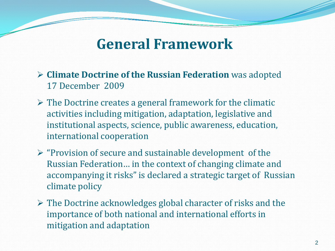### **General Framework**

- **Climate Doctrine of the Russian Federation** was adopted 17 December 2009
- $\triangleright$  The Doctrine creates a general framework for the climatic activities including mitigation, adaptation, legislative and institutional aspects, science, public awareness, education, international cooperation
- $\triangleright$  "Provision of secure and sustainable development of the Russian Federation… in the context of changing climate and accompanying it risks" is declared a strategic target of Russian climate policy
- $\triangleright$  The Doctrine acknowledges global character of risks and the importance of both national and international efforts in mitigation and adaptation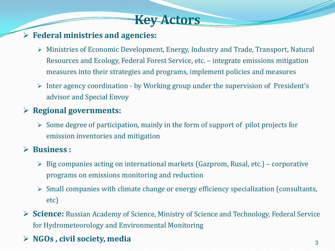### **Key Actors**

#### **Federal ministries and agencies:**

- Ministries of Economic Development, Energy, Industry and Trade, Transport, Natural Resources and Ecology, Federal Forest Service, etc. – integrate emissions mitigation measures into their strategies and programs, implement policies and measures
- $\triangleright$  Inter agency coordination by Working group under the supervision of President's advisor and Special Envoy

#### **Regional governments:**

 $\triangleright$  Some degree of participation, mainly in the form of support of pilot projects for emission inventories and mitigation

#### **Business :**

- $\triangleright$  Big companies acting on international markets (Gazprom, Rusal, etc.) corporative programs on emissions monitoring and reduction
- $\triangleright$  Small companies with climate change or energy efficiency specialization (consultants, etc)
- **Science:** Russian Academy of Science, Ministry of Science and Technology, Federal Service for Hydrometeorology and Environmental Monitoring
- **EXECUTE:** NGOs, civil society, media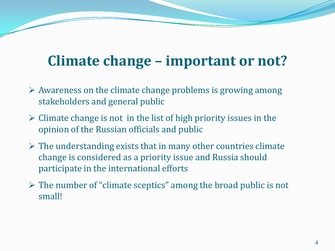## **Climate change – important or not?**

- $\triangleright$  Awareness on the climate change problems is growing among stakeholders and general public
- $\triangleright$  Climate change is not in the list of high priority issues in the opinion of the Russian officials and public
- $\triangleright$  The understanding exists that in many other countries climate change is considered as a priority issue and Russia should participate in the international efforts
- $\triangleright$  The number of "climate sceptics" among the broad public is not small!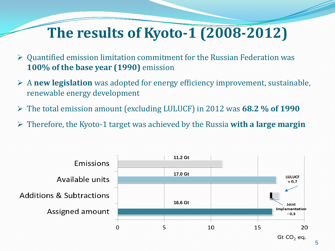## **The results of Kyoto-1 (2008-2012)**

- Quantified emission limitation commitment for the Russian Federation was **100% of the base year (1990)** emission
- A **new legislation** was adopted for energy efficiency improvement, sustainable, renewable energy development
- The total emission amount (excluding LULUCF) in 2012 was **68.2 % of 1990**
- Therefore, the Kyoto-1 target was achieved by the Russia **with a large margin**

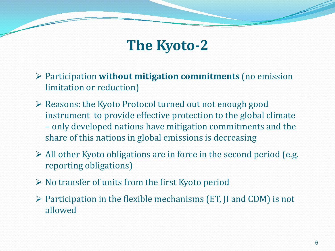## **The Kyoto-2**

- Participation **without mitigation commitments** (no emission limitation or reduction)
- $\triangleright$  Reasons: the Kyoto Protocol turned out not enough good instrument to provide effective protection to the global climate – only developed nations have mitigation commitments and the share of this nations in global emissions is decreasing
- $\triangleright$  All other Kyoto obligations are in force in the second period (e.g. reporting obligations)
- $\triangleright$  No transfer of units from the first Kyoto period
- $\triangleright$  Participation in the flexible mechanisms (ET, JI and CDM) is not allowed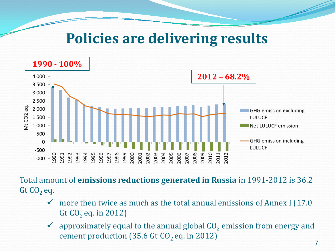### **Policies are delivering results**



Total amount of **emissions reductions generated in Russia** in 1991-2012 is 36.2 Gt  $CO<sub>2</sub>$  eq.

- more then twice as much as the total annual emissions of Annex I (17.0 Gt  $CO<sub>2</sub>$  eq. in 2012)
- $\checkmark$  approximately equal to the annual global  $CO<sub>2</sub>$  emission from energy and cement production (35.6 Gt  $CO<sub>2</sub>$  eq. in 2012)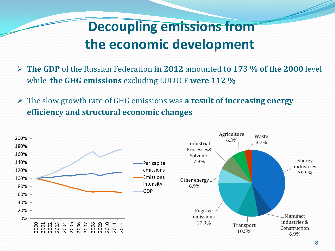## **Decoupling emissions from the economic development**

- **The GDP** of the Russian Federation **in 2012** amounted **to 173 % of the 2000** level while **the GHG emissions** excluding LULUCF **were 112 %**
- The slow growth rate of GHG emissions was **a result of increasing energy efficiency and structural economic changes**

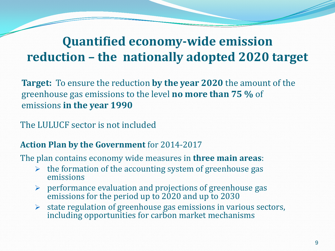### **Quantified economy-wide emission reduction – the nationally adopted 2020 target**

**Target:** To ensure the reduction **by the year 2020** the amount of the greenhouse gas emissions to the level **no more than 75 %** of emissions **in the year 1990**

The LULUCF sector is not included

#### **Action Plan by the Government** for 2014-2017

The plan contains economy wide measures in **three main areas**:

- $\triangleright$  the formation of the accounting system of greenhouse gas emissions
- $\triangleright$  performance evaluation and projections of greenhouse gas emissions for the period up to 2020 and up to 2030
- $\triangleright$  state regulation of greenhouse gas emissions in various sectors, including opportunities for carbon market mechanisms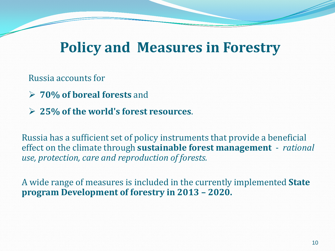## **Policy and Measures in Forestry**

Russia accounts for

- **70% of boreal forests** and
- **25% of the world's forest resources**.

Russia has a sufficient set of policy instruments that provide a beneficial effect on the climate through **sustainable forest management** - *rational use, protection, care and reproduction of forests.*

A wide range of measures is included in the currently implemented **State program Development of forestry in 2013 – 2020.**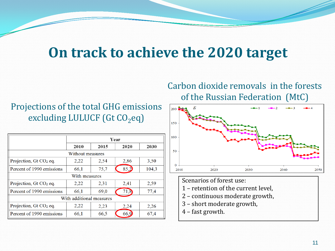## **On track to achieve the 2020 target**

### Projections of the total GHG emissions excluding LULUCF (Gt  $CO<sub>2</sub>$ eq)

|                                    | Year |      |      |       |
|------------------------------------|------|------|------|-------|
|                                    | 2010 | 2015 | 2020 | 2030  |
| Without measures                   |      |      |      |       |
| Projection, $Gt CO2 eq.$           | 2,22 | 2,54 | 2,86 | 3,50  |
| Percent of 1990 emissions          | 66,1 | 75,7 | 85,2 | 104,3 |
| With measures                      |      |      |      |       |
| Projection, Gt CO <sub>2</sub> eq. | 2,22 | 2,31 | 2,41 | 2,59  |
| Percent of 1990 emissions          | 66,1 | 69,0 | 71,8 | 77,4  |
| With additional measures           |      |      |      |       |
| Projection, $Gt CO2 eq.$           | 2,22 | 2,23 | 2,24 | 2,26  |
| Percent of 1990 emissions          | 66,1 | 66,5 | 66,9 | 67,4  |

### Carbon dioxide removals in the forests of the Russian Federation (MtC)



Scenarios of forest use:

- 1 retention of the current level,
- 2 continuous moderate growth,
- 3 short moderate growth,
- 4 fast growth.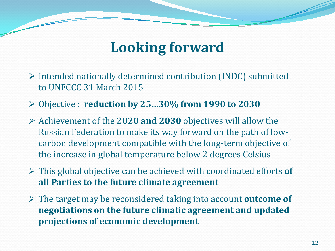## **Looking forward**

- $\triangleright$  Intended nationally determined contribution (INDC) submitted to UNFCCC 31 March 2015
- Objective : **reduction by 25…30% from 1990 to 2030**
- Achievement of the **2020 and 2030** objectives will allow the Russian Federation to make its way forward on the path of lowcarbon development compatible with the long-term objective of the increase in global temperature below 2 degrees Celsius
- This global objective can be achieved with coordinated efforts **of all Parties to the future climate agreement**
- The target may be reconsidered taking into account **outcome of negotiations on the future climatic agreement and updated projections of economic development**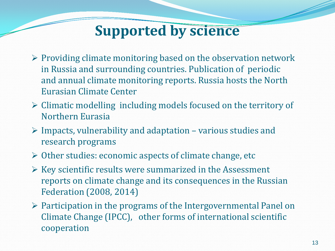## **Supported by science**

- $\triangleright$  Providing climate monitoring based on the observation network in Russia and surrounding countries. Publication of periodic and annual climate monitoring reports. Russia hosts the North Eurasian Climate Center
- Climatic modelling including models focused on the territory of Northern Eurasia
- $\triangleright$  Impacts, vulnerability and adaptation various studies and research programs
- Other studies: economic aspects of climate change, etc
- $\triangleright$  Key scientific results were summarized in the Assessment reports on climate change and its consequences in the Russian Federation (2008, 2014)
- $\triangleright$  Participation in the programs of the Intergovernmental Panel on Climate Change (IPCC), other forms of international scientific cooperation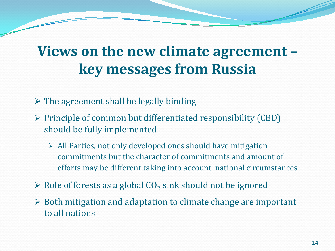## **Views on the new climate agreement – key messages from Russia**

 $\triangleright$  The agreement shall be legally binding

- $\triangleright$  Principle of common but differentiated responsibility (CBD) should be fully implemented
	- All Parties, not only developed ones should have mitigation commitments but the character of commitments and amount of efforts may be different taking into account national circumstances
- $\triangleright$  Role of forests as a global CO<sub>2</sub> sink should not be ignored
- $\triangleright$  Both mitigation and adaptation to climate change are important to all nations